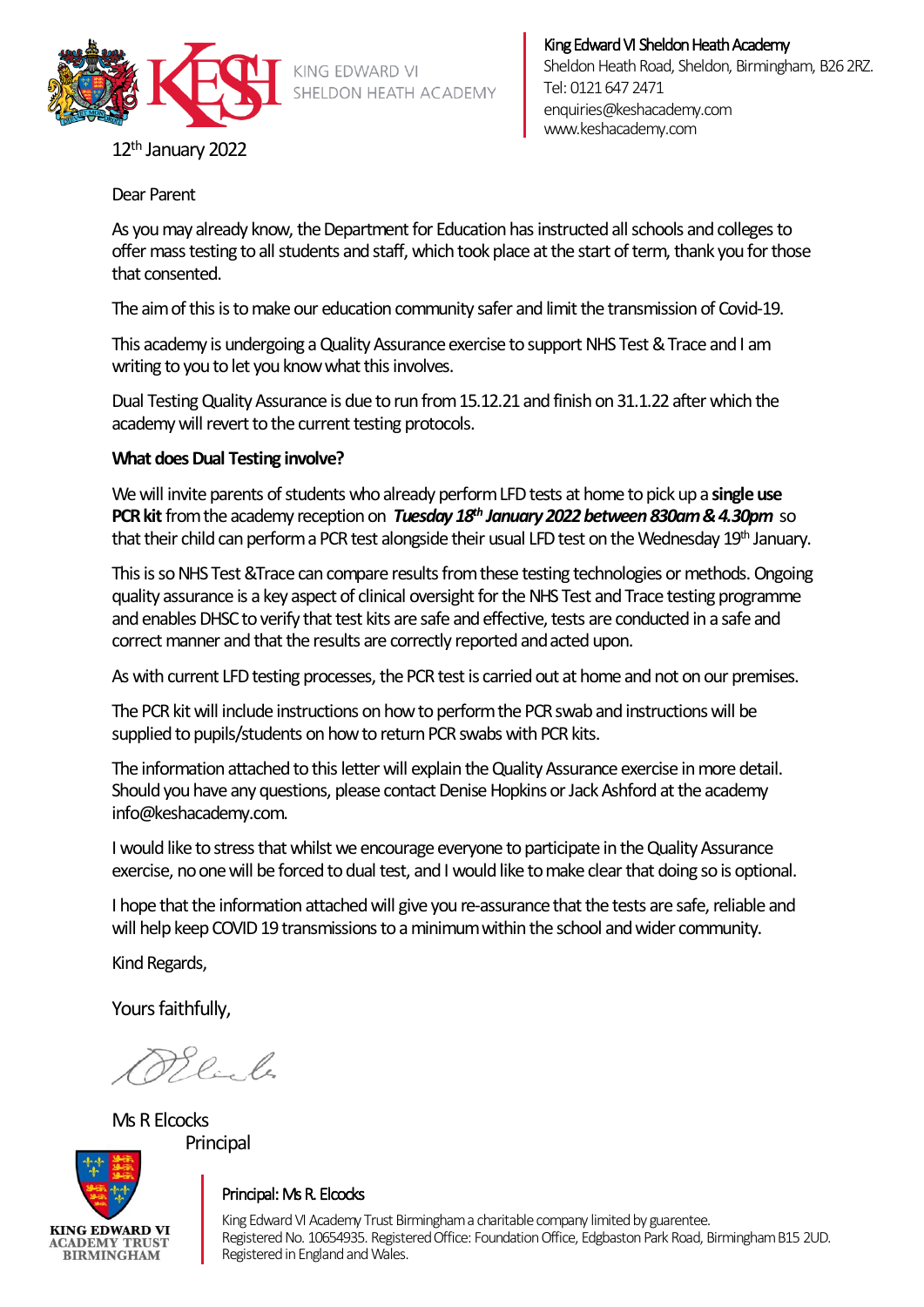

KING EDWARD VI SHELDON HEATH ACADEMY

#### King Edward VI Sheldon Heath Academy Sheldon Heath Road, Sheldon, Birmingham, B26 2RZ. Tel: 0121 647 2471 [enquiries@keshacademy.com](mailto:enquiries@keshacademy.com)  www.keshacademy.com

12th January 2022

Dear Parent

As you may already know, the Department for Education has instructed all schools and colleges to offer mass testing to all students and staff, which took place at the start of term, thank you for those that consented.

The aim of this is to make our education community safer and limit the transmission of Covid-19.

This academy is undergoing a Quality Assurance exercise tosupport NHS Test & Trace and I am writing to you to let you know what this involves.

Dual Testing Quality Assurance is due to run from 15.12.21 and finish on 31.1.22 after which the academy will revert to the current testing protocols.

## **What does Dual Testing involve?**

We will invite parents of students who already perform LFD tests at home to pick up a **single use PCR kit** from the academy reception on *Tuesday 18<sup>th</sup> January 2022 between 830am & 4.30pm* so that their child can perform a PCR test alongside their usual LFD test on the Wednesday 19th January.

This is so NHS Test &Trace can compare results from these testing technologies or methods. Ongoing quality assurance is a key aspect of clinical oversight for the NHS Test and Trace testing programme and enables DHSC to verify that test kits are safe and effective, tests are conducted in a safe and correct manner and that the results are correctly reported and acted upon.

As with current LFD testing processes, the PCR test is carried out at home and not on our premises.

The PCR kit will include instructions on how to perform the PCR swab and instructions will be supplied to pupils/students on how to return PCR swabs with PCR kits.

The information attached to this letter will explain the Quality Assurance exercise in more detail. Should you have any questions, please contact Denise Hopkins or Jack Ashford at the academy info@keshacademy.com.

I would like to stress that whilst we encourage everyone to participate in the Quality Assurance exercise, no one will be forced to dual test, and I would like to make clear that doing so is optional.

I hope that the information attached will give you re-assurance that the tests are safe, reliable and will help keep COVID 19 transmissions to a minimum within the school andwider community.

Kind Regards,

Yours faithfully,

la le

Ms R Elcocks Principal



## Principal: Ms R. Elcocks

King Edward VI Academy Trust Birmingham a charitable company limited by guarentee. Registered No. 10654935. Registered Office: Foundation Office, Edgbaston Park Road, Birmingham B15 2UD. Registered in England and Wales.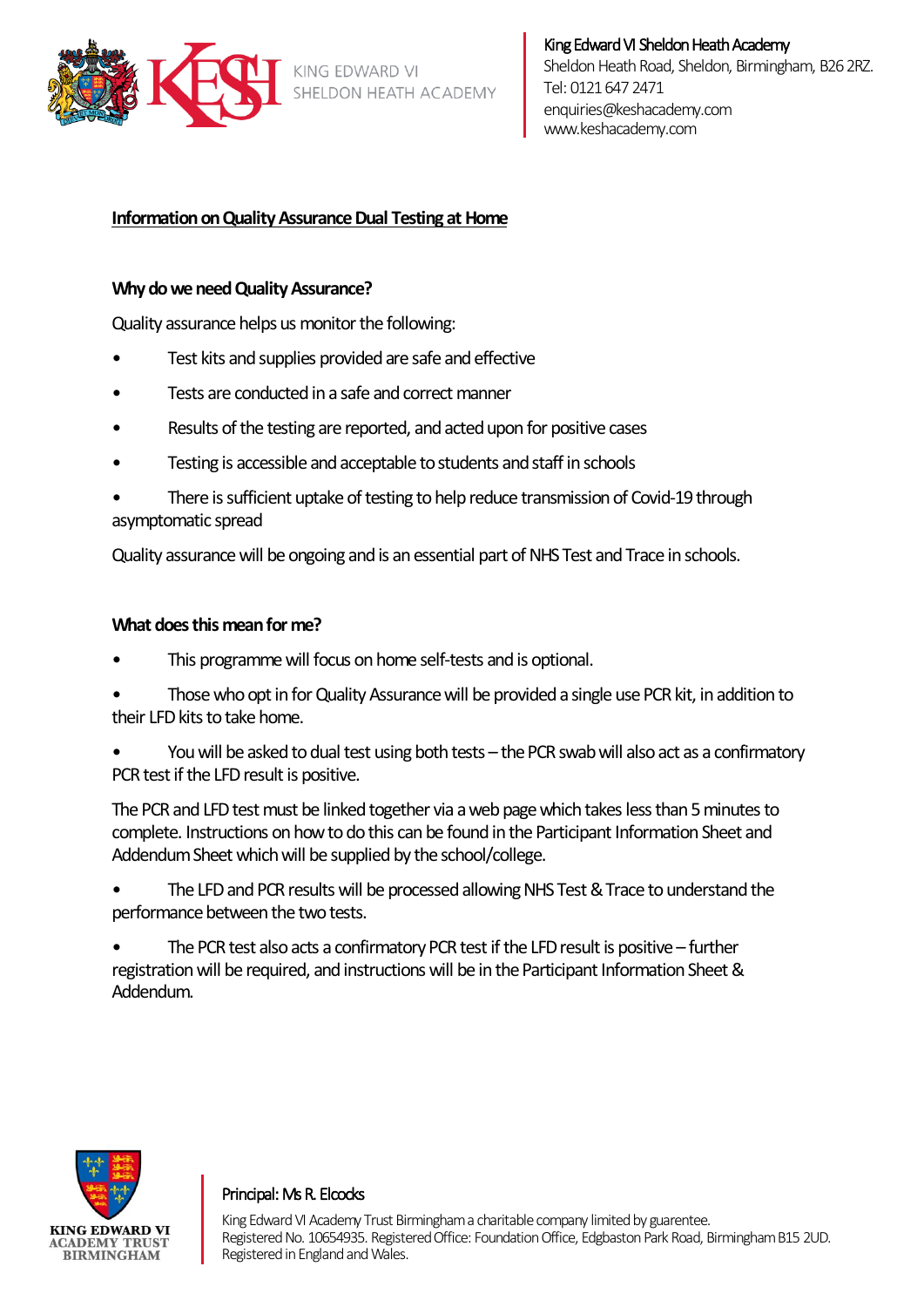

# **Information on Quality Assurance Dual Testing at Home**

## **Why do we need Quality Assurance?**

Quality assurance helps us monitor the following:

- Test kits and supplies provided are safe and effective
- Tests are conducted in a safe and correct manner
- Results of the testing are reported, and acted upon for positive cases
- Testing is accessible and acceptable to students and staff in schools
- There is sufficient uptake of testing to help reduce transmission of Covid-19 through asymptomatic spread

Quality assurance will be ongoing and is an essential part of NHS Test and Trace in schools.

### **What does this mean for me?**

- This programme will focus on home self-tests and is optional.
- Those who opt in for Quality Assurance will be provided a single use PCR kit, in addition to their LFD kits to take home.
- You will be asked to dual test using both tests the PCR swab will also act as a confirmatory PCR test if the LFD result is positive.

The PCR and LFD test must be linked together via a web page which takes less than 5 minutes to complete. Instructions on how to do this can be found in the Participant Information Sheet and Addendum Sheet which will be supplied by the school/college.

The LFD and PCR results will be processed allowing NHS Test & Trace to understand the performance between the two tests.

• The PCR test also acts a confirmatory PCR test if the LFD result is positive – further registration will be required, and instructions will be in the Participant Information Sheet & Addendum.



### Principal: Ms R. Elcocks

King Edward VI Academy Trust Birmingham a charitable company limited by guarentee. Registered No. 10654935. Registered Office: Foundation Office, Edgbaston Park Road, Birmingham B15 2UD. Registered in England and Wales.